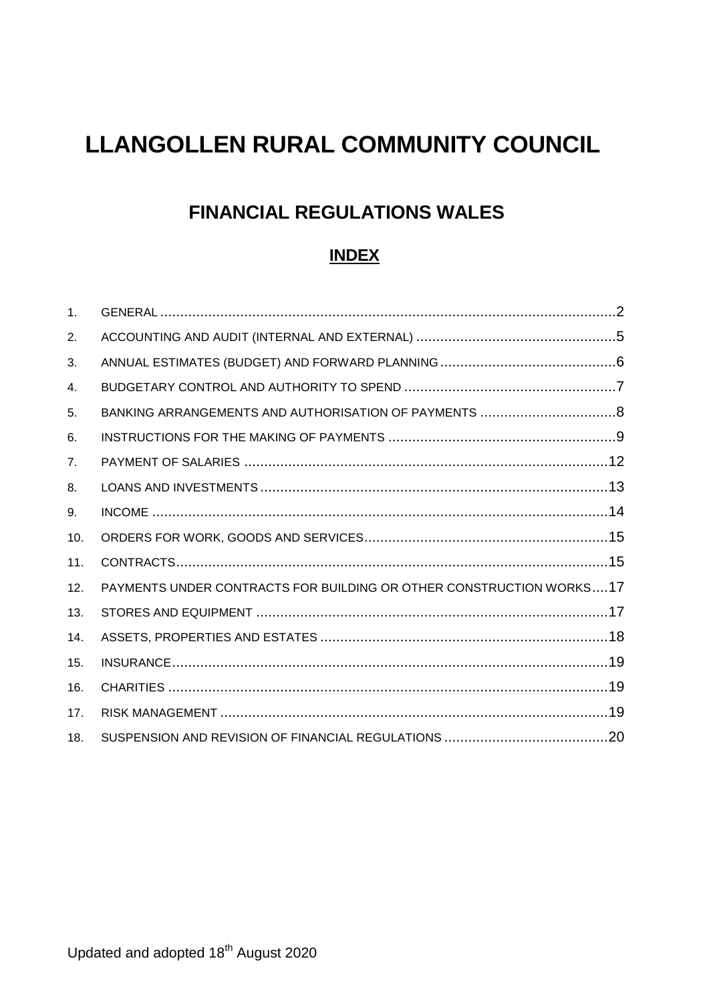# **LLANGOLLEN RURAL COMMUNITY COUNCIL**

# **FINANCIAL REGULATIONS WALES**

# **INDEX**

| 1 <sub>1</sub> |                                                                     |  |
|----------------|---------------------------------------------------------------------|--|
| 2.             |                                                                     |  |
| 3.             |                                                                     |  |
| 4.             |                                                                     |  |
| 5.             |                                                                     |  |
| 6.             |                                                                     |  |
| 7 <sub>1</sub> |                                                                     |  |
| 8.             |                                                                     |  |
| 9.             |                                                                     |  |
| 10.            |                                                                     |  |
| 11.            |                                                                     |  |
| 12.            | PAYMENTS UNDER CONTRACTS FOR BUILDING OR OTHER CONSTRUCTION WORKS17 |  |
| 13.            |                                                                     |  |
| 14.            |                                                                     |  |
| 15.            |                                                                     |  |
| 16.            |                                                                     |  |
| 17.            |                                                                     |  |
| 18.            |                                                                     |  |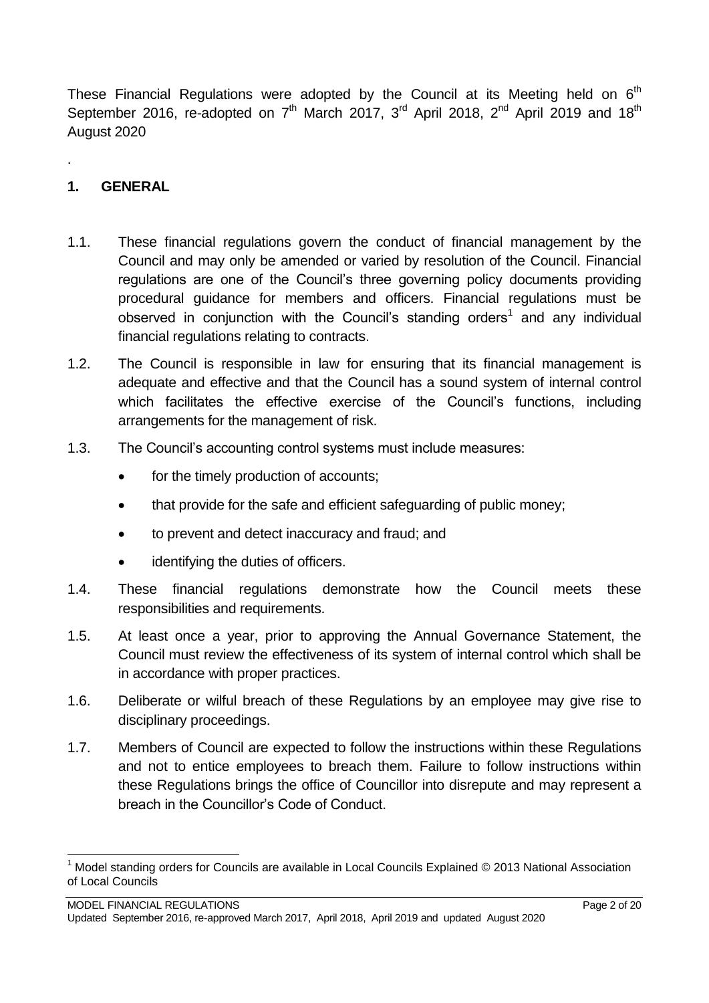These Financial Regulations were adopted by the Council at its Meeting held on  $6<sup>th</sup>$ September 2016, re-adopted on  $7<sup>th</sup>$  March 2017, 3<sup>rd</sup> April 2018, 2<sup>nd</sup> April 2019 and 18<sup>th</sup> August 2020

# <span id="page-1-0"></span>**1. GENERAL**

.

1

- 1.1. These financial regulations govern the conduct of financial management by the Council and may only be amended or varied by resolution of the Council. Financial regulations are one of the Council's three governing policy documents providing procedural guidance for members and officers. Financial regulations must be observed in conjunction with the Council's standing orders<sup>1</sup> and any individual financial regulations relating to contracts.
- 1.2. The Council is responsible in law for ensuring that its financial management is adequate and effective and that the Council has a sound system of internal control which facilitates the effective exercise of the Council's functions, including arrangements for the management of risk.
- 1.3. The Council's accounting control systems must include measures:
	- for the timely production of accounts;
	- that provide for the safe and efficient safeguarding of public money;
	- to prevent and detect inaccuracy and fraud; and
	- identifying the duties of officers.
- 1.4. These financial regulations demonstrate how the Council meets these responsibilities and requirements.
- 1.5. At least once a year, prior to approving the Annual Governance Statement, the Council must review the effectiveness of its system of internal control which shall be in accordance with proper practices.
- 1.6. Deliberate or wilful breach of these Regulations by an employee may give rise to disciplinary proceedings.
- 1.7. Members of Council are expected to follow the instructions within these Regulations and not to entice employees to breach them. Failure to follow instructions within these Regulations brings the office of Councillor into disrepute and may represent a breach in the Councillor's Code of Conduct.

Model standing orders for Councils are available in Local Councils Explained © 2013 National Association of Local Councils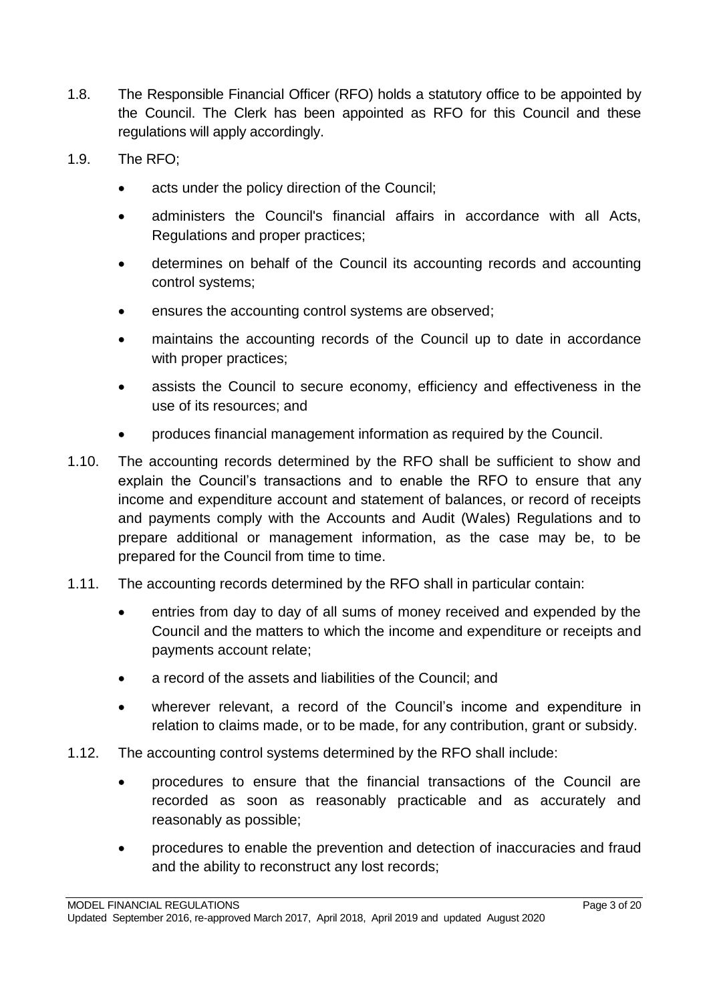- 1.8. The Responsible Financial Officer (RFO) holds a statutory office to be appointed by the Council. The Clerk has been appointed as RFO for this Council and these regulations will apply accordingly.
- 1.9. The RFO;
	- acts under the policy direction of the Council;
	- administers the Council's financial affairs in accordance with all Acts, Regulations and proper practices;
	- determines on behalf of the Council its accounting records and accounting control systems;
	- ensures the accounting control systems are observed;
	- maintains the accounting records of the Council up to date in accordance with proper practices;
	- assists the Council to secure economy, efficiency and effectiveness in the use of its resources; and
	- produces financial management information as required by the Council.
- 1.10. The accounting records determined by the RFO shall be sufficient to show and explain the Council's transactions and to enable the RFO to ensure that any income and expenditure account and statement of balances, or record of receipts and payments comply with the Accounts and Audit (Wales) Regulations and to prepare additional or management information, as the case may be, to be prepared for the Council from time to time.
- 1.11. The accounting records determined by the RFO shall in particular contain:
	- entries from day to day of all sums of money received and expended by the Council and the matters to which the income and expenditure or receipts and payments account relate;
	- a record of the assets and liabilities of the Council; and
	- wherever relevant, a record of the Council's income and expenditure in relation to claims made, or to be made, for any contribution, grant or subsidy.
- 1.12. The accounting control systems determined by the RFO shall include:
	- procedures to ensure that the financial transactions of the Council are recorded as soon as reasonably practicable and as accurately and reasonably as possible;
	- procedures to enable the prevention and detection of inaccuracies and fraud and the ability to reconstruct any lost records;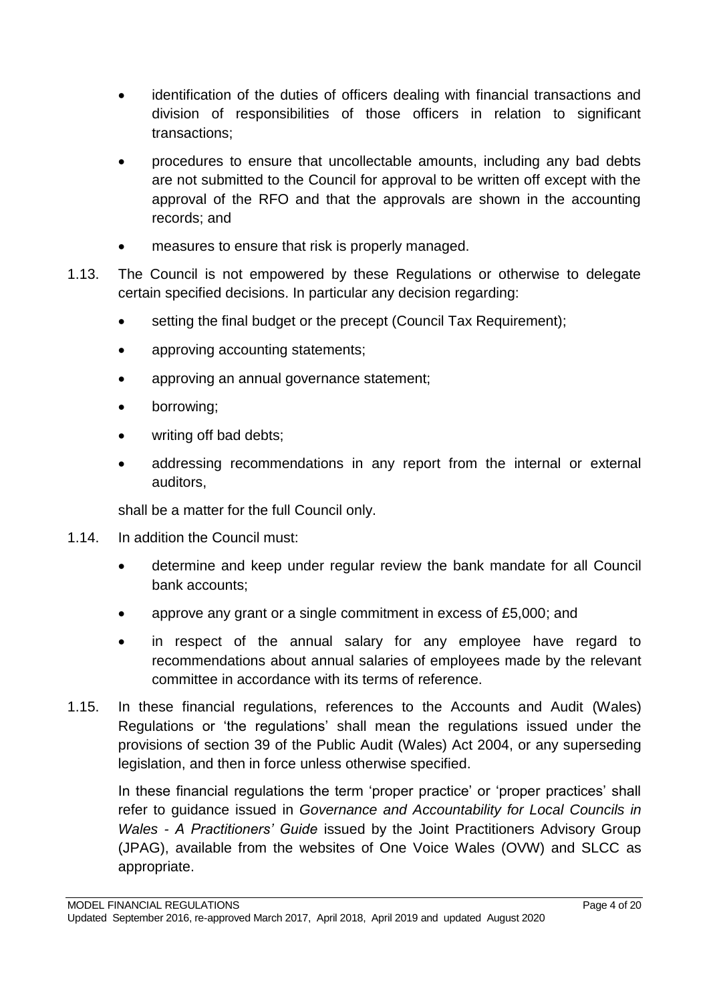- identification of the duties of officers dealing with financial transactions and division of responsibilities of those officers in relation to significant transactions;
- procedures to ensure that uncollectable amounts, including any bad debts are not submitted to the Council for approval to be written off except with the approval of the RFO and that the approvals are shown in the accounting records; and
- measures to ensure that risk is properly managed.
- 1.13. The Council is not empowered by these Regulations or otherwise to delegate certain specified decisions. In particular any decision regarding:
	- setting the final budget or the precept (Council Tax Requirement):
	- approving accounting statements;
	- approving an annual governance statement;
	- borrowing;
	- writing off bad debts;
	- addressing recommendations in any report from the internal or external auditors,

shall be a matter for the full Council only.

- 1.14. In addition the Council must:
	- determine and keep under regular review the bank mandate for all Council bank accounts;
	- approve any grant or a single commitment in excess of £5,000; and
	- in respect of the annual salary for any employee have regard to recommendations about annual salaries of employees made by the relevant committee in accordance with its terms of reference.
- 1.15. In these financial regulations, references to the Accounts and Audit (Wales) Regulations or 'the regulations' shall mean the regulations issued under the provisions of section 39 of the Public Audit (Wales) Act 2004, or any superseding legislation, and then in force unless otherwise specified.

In these financial regulations the term 'proper practice' or 'proper practices' shall refer to guidance issued in *Governance and Accountability for Local Councils in Wales - A Practitioners' Guide* issued by the Joint Practitioners Advisory Group (JPAG), available from the websites of One Voice Wales (OVW) and SLCC as appropriate.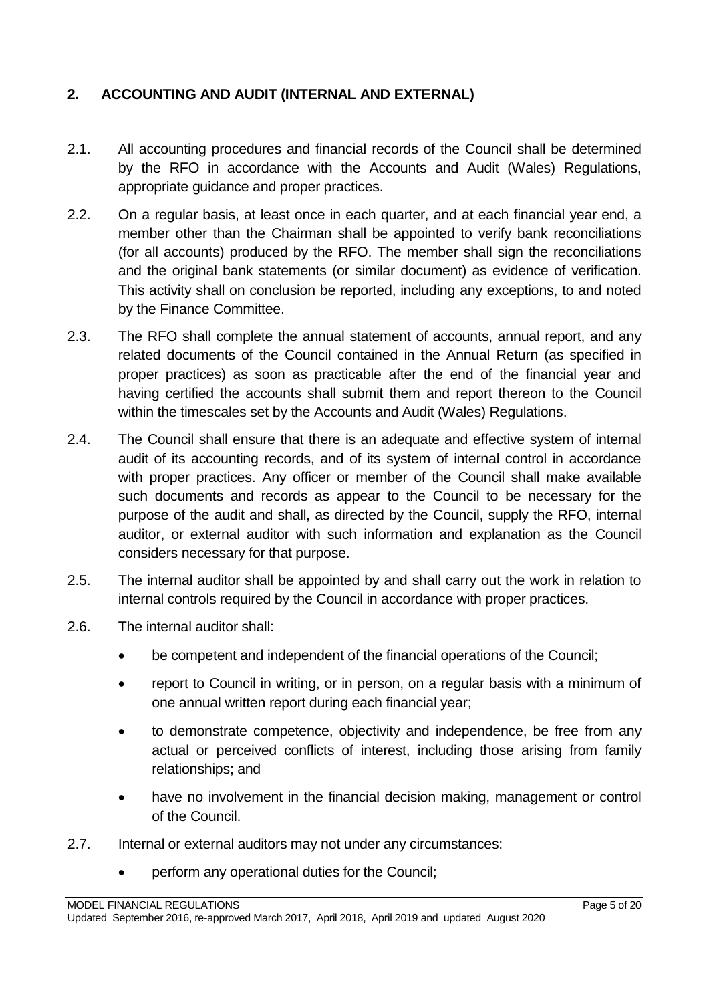# <span id="page-4-0"></span>**2. ACCOUNTING AND AUDIT (INTERNAL AND EXTERNAL)**

- 2.1. All accounting procedures and financial records of the Council shall be determined by the RFO in accordance with the Accounts and Audit (Wales) Regulations, appropriate guidance and proper practices.
- 2.2. On a regular basis, at least once in each quarter, and at each financial year end, a member other than the Chairman shall be appointed to verify bank reconciliations (for all accounts) produced by the RFO. The member shall sign the reconciliations and the original bank statements (or similar document) as evidence of verification. This activity shall on conclusion be reported, including any exceptions, to and noted by the Finance Committee.
- 2.3. The RFO shall complete the annual statement of accounts, annual report, and any related documents of the Council contained in the Annual Return (as specified in proper practices) as soon as practicable after the end of the financial year and having certified the accounts shall submit them and report thereon to the Council within the timescales set by the Accounts and Audit (Wales) Regulations.
- 2.4. The Council shall ensure that there is an adequate and effective system of internal audit of its accounting records, and of its system of internal control in accordance with proper practices. Any officer or member of the Council shall make available such documents and records as appear to the Council to be necessary for the purpose of the audit and shall, as directed by the Council, supply the RFO, internal auditor, or external auditor with such information and explanation as the Council considers necessary for that purpose.
- 2.5. The internal auditor shall be appointed by and shall carry out the work in relation to internal controls required by the Council in accordance with proper practices.
- 2.6. The internal auditor shall:
	- be competent and independent of the financial operations of the Council;
	- report to Council in writing, or in person, on a regular basis with a minimum of one annual written report during each financial year;
	- to demonstrate competence, objectivity and independence, be free from any actual or perceived conflicts of interest, including those arising from family relationships; and
	- have no involvement in the financial decision making, management or control of the Council.
- 2.7. Internal or external auditors may not under any circumstances:
	- perform any operational duties for the Council;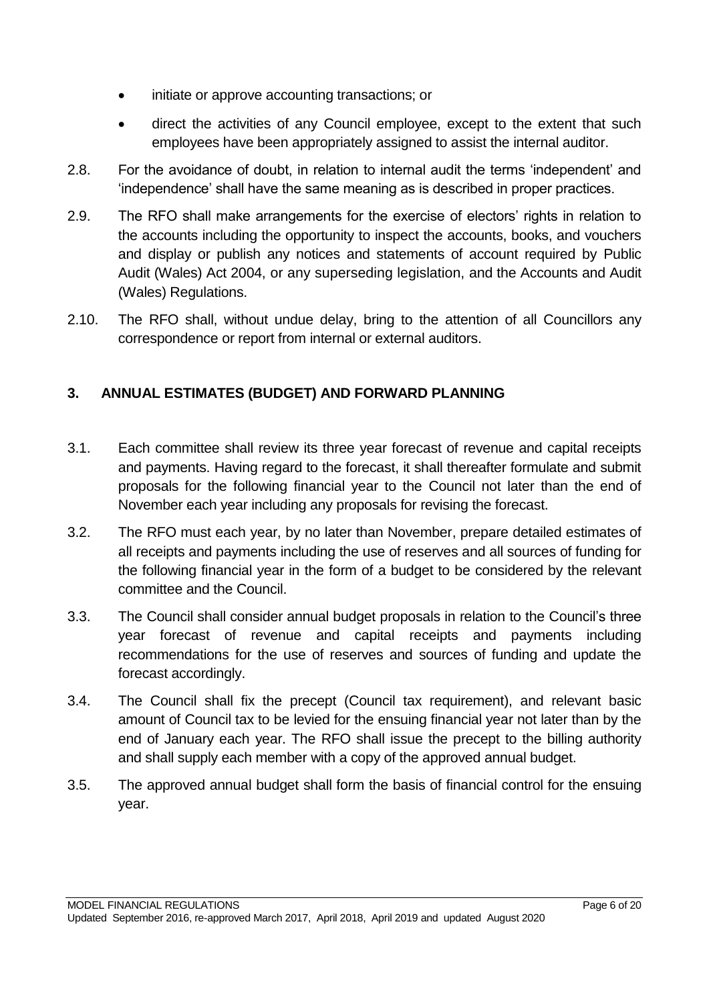- initiate or approve accounting transactions; or
- direct the activities of any Council employee, except to the extent that such employees have been appropriately assigned to assist the internal auditor.
- 2.8. For the avoidance of doubt, in relation to internal audit the terms 'independent' and 'independence' shall have the same meaning as is described in proper practices.
- 2.9. The RFO shall make arrangements for the exercise of electors' rights in relation to the accounts including the opportunity to inspect the accounts, books, and vouchers and display or publish any notices and statements of account required by Public Audit (Wales) Act 2004, or any superseding legislation, and the Accounts and Audit (Wales) Regulations.
- 2.10. The RFO shall, without undue delay, bring to the attention of all Councillors any correspondence or report from internal or external auditors.

# <span id="page-5-0"></span>**3. ANNUAL ESTIMATES (BUDGET) AND FORWARD PLANNING**

- 3.1. Each committee shall review its three year forecast of revenue and capital receipts and payments. Having regard to the forecast, it shall thereafter formulate and submit proposals for the following financial year to the Council not later than the end of November each year including any proposals for revising the forecast.
- 3.2. The RFO must each year, by no later than November, prepare detailed estimates of all receipts and payments including the use of reserves and all sources of funding for the following financial year in the form of a budget to be considered by the relevant committee and the Council.
- 3.3. The Council shall consider annual budget proposals in relation to the Council's three year forecast of revenue and capital receipts and payments including recommendations for the use of reserves and sources of funding and update the forecast accordingly.
- 3.4. The Council shall fix the precept (Council tax requirement), and relevant basic amount of Council tax to be levied for the ensuing financial year not later than by the end of January each year. The RFO shall issue the precept to the billing authority and shall supply each member with a copy of the approved annual budget.
- <span id="page-5-1"></span>3.5. The approved annual budget shall form the basis of financial control for the ensuing year.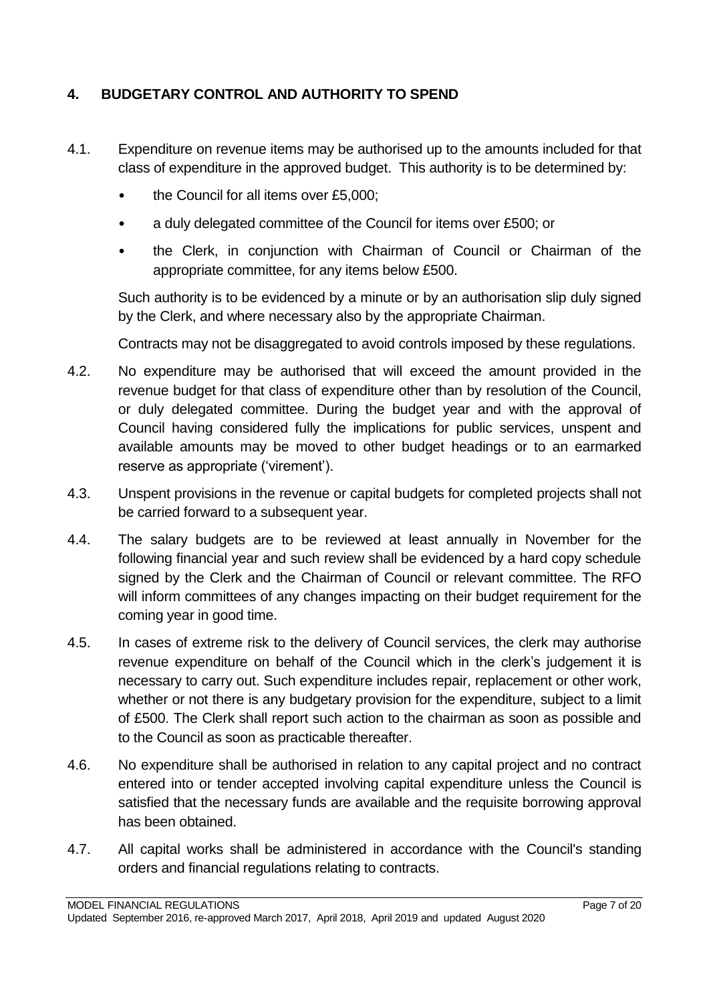# **4. BUDGETARY CONTROL AND AUTHORITY TO SPEND**

- 4.1. Expenditure on revenue items may be authorised up to the amounts included for that class of expenditure in the approved budget. This authority is to be determined by:
	- the Council for all items over £5,000;
	- a duly delegated committee of the Council for items over £500; or
	- the Clerk, in conjunction with Chairman of Council or Chairman of the appropriate committee, for any items below £500.

Such authority is to be evidenced by a minute or by an authorisation slip duly signed by the Clerk, and where necessary also by the appropriate Chairman.

Contracts may not be disaggregated to avoid controls imposed by these regulations.

- 4.2. No expenditure may be authorised that will exceed the amount provided in the revenue budget for that class of expenditure other than by resolution of the Council, or duly delegated committee. During the budget year and with the approval of Council having considered fully the implications for public services, unspent and available amounts may be moved to other budget headings or to an earmarked reserve as appropriate ('virement').
- 4.3. Unspent provisions in the revenue or capital budgets for completed projects shall not be carried forward to a subsequent year.
- 4.4. The salary budgets are to be reviewed at least annually in November for the following financial year and such review shall be evidenced by a hard copy schedule signed by the Clerk and the Chairman of Council or relevant committee. The RFO will inform committees of any changes impacting on their budget requirement for the coming year in good time.
- 4.5. In cases of extreme risk to the delivery of Council services, the clerk may authorise revenue expenditure on behalf of the Council which in the clerk's judgement it is necessary to carry out. Such expenditure includes repair, replacement or other work, whether or not there is any budgetary provision for the expenditure, subject to a limit of £500. The Clerk shall report such action to the chairman as soon as possible and to the Council as soon as practicable thereafter.
- 4.6. No expenditure shall be authorised in relation to any capital project and no contract entered into or tender accepted involving capital expenditure unless the Council is satisfied that the necessary funds are available and the requisite borrowing approval has been obtained.
- 4.7. All capital works shall be administered in accordance with the Council's standing orders and financial regulations relating to contracts.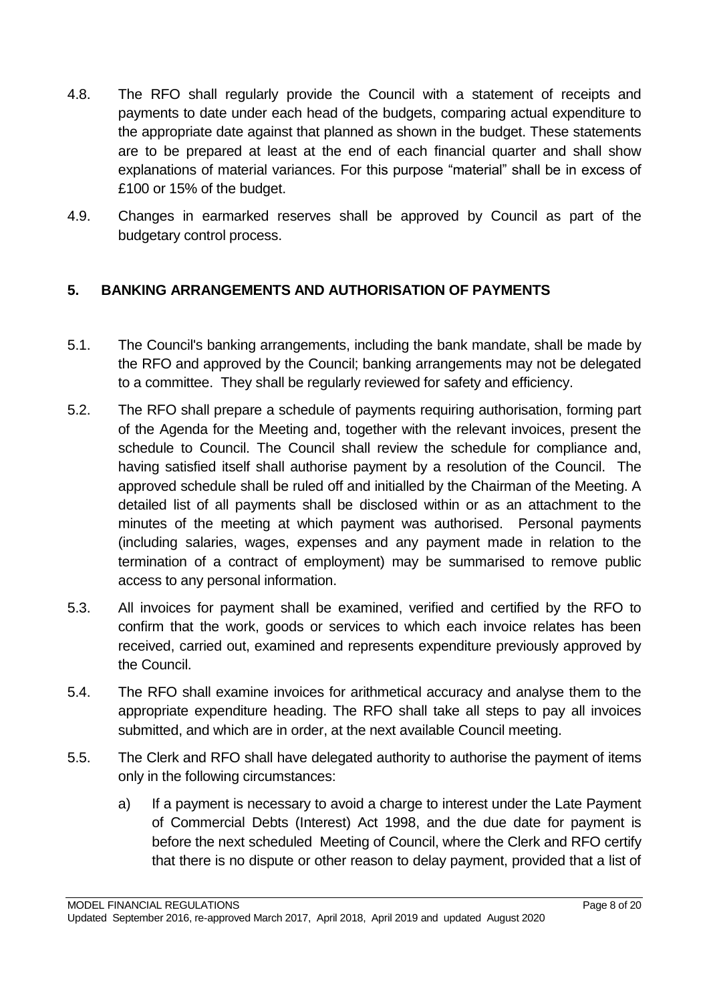- 4.8. The RFO shall regularly provide the Council with a statement of receipts and payments to date under each head of the budgets, comparing actual expenditure to the appropriate date against that planned as shown in the budget. These statements are to be prepared at least at the end of each financial quarter and shall show explanations of material variances. For this purpose "material" shall be in excess of £100 or 15% of the budget.
- 4.9. Changes in earmarked reserves shall be approved by Council as part of the budgetary control process.

# <span id="page-7-0"></span>**5. BANKING ARRANGEMENTS AND AUTHORISATION OF PAYMENTS**

- 5.1. The Council's banking arrangements, including the bank mandate, shall be made by the RFO and approved by the Council; banking arrangements may not be delegated to a committee. They shall be regularly reviewed for safety and efficiency.
- 5.2. The RFO shall prepare a schedule of payments requiring authorisation, forming part of the Agenda for the Meeting and, together with the relevant invoices, present the schedule to Council. The Council shall review the schedule for compliance and, having satisfied itself shall authorise payment by a resolution of the Council. The approved schedule shall be ruled off and initialled by the Chairman of the Meeting. A detailed list of all payments shall be disclosed within or as an attachment to the minutes of the meeting at which payment was authorised. Personal payments (including salaries, wages, expenses and any payment made in relation to the termination of a contract of employment) may be summarised to remove public access to any personal information.
- 5.3. All invoices for payment shall be examined, verified and certified by the RFO to confirm that the work, goods or services to which each invoice relates has been received, carried out, examined and represents expenditure previously approved by the Council.
- 5.4. The RFO shall examine invoices for arithmetical accuracy and analyse them to the appropriate expenditure heading. The RFO shall take all steps to pay all invoices submitted, and which are in order, at the next available Council meeting.
- 5.5. The Clerk and RFO shall have delegated authority to authorise the payment of items only in the following circumstances:
	- a) If a payment is necessary to avoid a charge to interest under the Late Payment of Commercial Debts (Interest) Act 1998, and the due date for payment is before the next scheduled Meeting of Council, where the Clerk and RFO certify that there is no dispute or other reason to delay payment, provided that a list of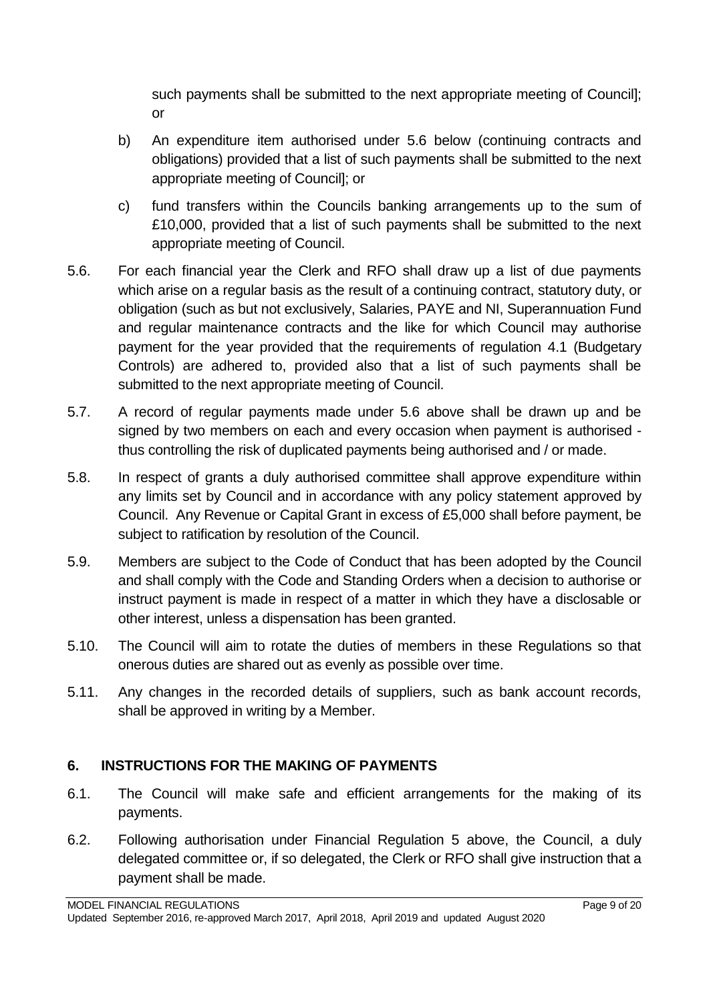such payments shall be submitted to the next appropriate meeting of Council]; or

- b) An expenditure item authorised under 5.6 below (continuing contracts and obligations) provided that a list of such payments shall be submitted to the next appropriate meeting of Council]; or
- c) fund transfers within the Councils banking arrangements up to the sum of £10,000, provided that a list of such payments shall be submitted to the next appropriate meeting of Council.
- 5.6. For each financial year the Clerk and RFO shall draw up a list of due payments which arise on a regular basis as the result of a continuing contract, statutory duty, or obligation (such as but not exclusively, Salaries, PAYE and NI, Superannuation Fund and regular maintenance contracts and the like for which Council may authorise payment for the year provided that the requirements of regulation 4.1 (Budgetary Controls) are adhered to, provided also that a list of such payments shall be submitted to the next appropriate meeting of Council.
- 5.7. A record of regular payments made under 5.6 above shall be drawn up and be signed by two members on each and every occasion when payment is authorised thus controlling the risk of duplicated payments being authorised and / or made.
- 5.8. In respect of grants a duly authorised committee shall approve expenditure within any limits set by Council and in accordance with any policy statement approved by Council. Any Revenue or Capital Grant in excess of £5,000 shall before payment, be subject to ratification by resolution of the Council.
- 5.9. Members are subject to the Code of Conduct that has been adopted by the Council and shall comply with the Code and Standing Orders when a decision to authorise or instruct payment is made in respect of a matter in which they have a disclosable or other interest, unless a dispensation has been granted.
- 5.10. The Council will aim to rotate the duties of members in these Regulations so that onerous duties are shared out as evenly as possible over time.
- 5.11. Any changes in the recorded details of suppliers, such as bank account records, shall be approved in writing by a Member.

# <span id="page-8-0"></span>**6. INSTRUCTIONS FOR THE MAKING OF PAYMENTS**

- 6.1. The Council will make safe and efficient arrangements for the making of its payments.
- 6.2. Following authorisation under Financial Regulation 5 above, the Council, a duly delegated committee or, if so delegated, the Clerk or RFO shall give instruction that a payment shall be made.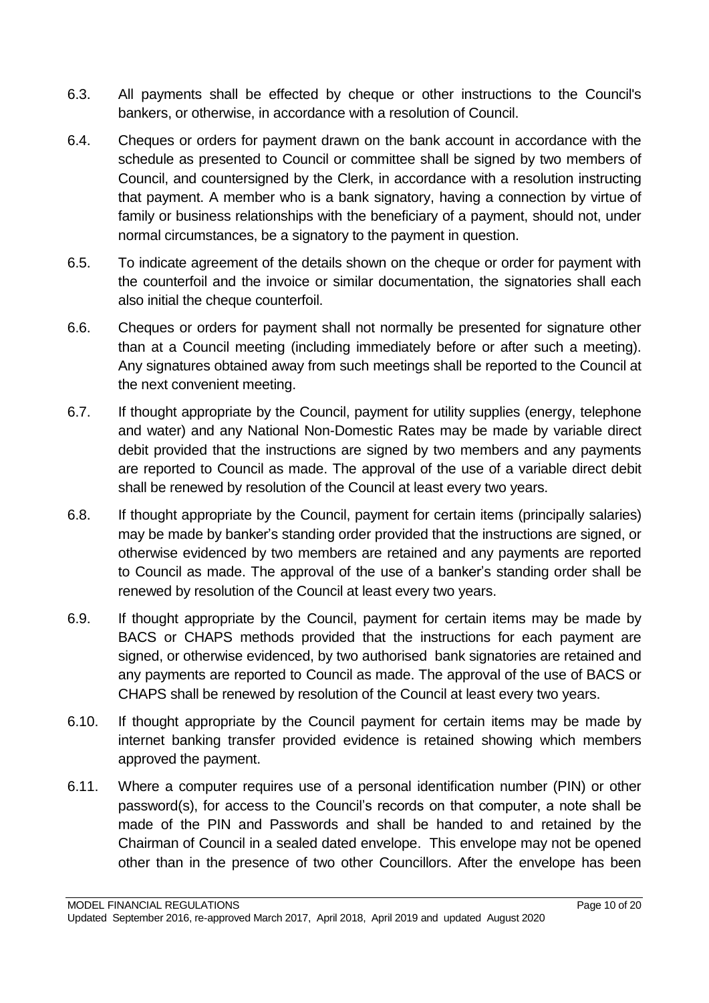- 6.3. All payments shall be effected by cheque or other instructions to the Council's bankers, or otherwise, in accordance with a resolution of Council.
- 6.4. Cheques or orders for payment drawn on the bank account in accordance with the schedule as presented to Council or committee shall be signed by two members of Council, and countersigned by the Clerk, in accordance with a resolution instructing that payment. A member who is a bank signatory, having a connection by virtue of family or business relationships with the beneficiary of a payment, should not, under normal circumstances, be a signatory to the payment in question.
- 6.5. To indicate agreement of the details shown on the cheque or order for payment with the counterfoil and the invoice or similar documentation, the signatories shall each also initial the cheque counterfoil.
- 6.6. Cheques or orders for payment shall not normally be presented for signature other than at a Council meeting (including immediately before or after such a meeting). Any signatures obtained away from such meetings shall be reported to the Council at the next convenient meeting.
- 6.7. If thought appropriate by the Council, payment for utility supplies (energy, telephone and water) and any National Non-Domestic Rates may be made by variable direct debit provided that the instructions are signed by two members and any payments are reported to Council as made. The approval of the use of a variable direct debit shall be renewed by resolution of the Council at least every two years.
- 6.8. If thought appropriate by the Council, payment for certain items (principally salaries) may be made by banker's standing order provided that the instructions are signed, or otherwise evidenced by two members are retained and any payments are reported to Council as made. The approval of the use of a banker's standing order shall be renewed by resolution of the Council at least every two years.
- 6.9. If thought appropriate by the Council, payment for certain items may be made by BACS or CHAPS methods provided that the instructions for each payment are signed, or otherwise evidenced, by two authorised bank signatories are retained and any payments are reported to Council as made. The approval of the use of BACS or CHAPS shall be renewed by resolution of the Council at least every two years.
- 6.10. If thought appropriate by the Council payment for certain items may be made by internet banking transfer provided evidence is retained showing which members approved the payment.
- 6.11. Where a computer requires use of a personal identification number (PIN) or other password(s), for access to the Council's records on that computer, a note shall be made of the PIN and Passwords and shall be handed to and retained by the Chairman of Council in a sealed dated envelope. This envelope may not be opened other than in the presence of two other Councillors. After the envelope has been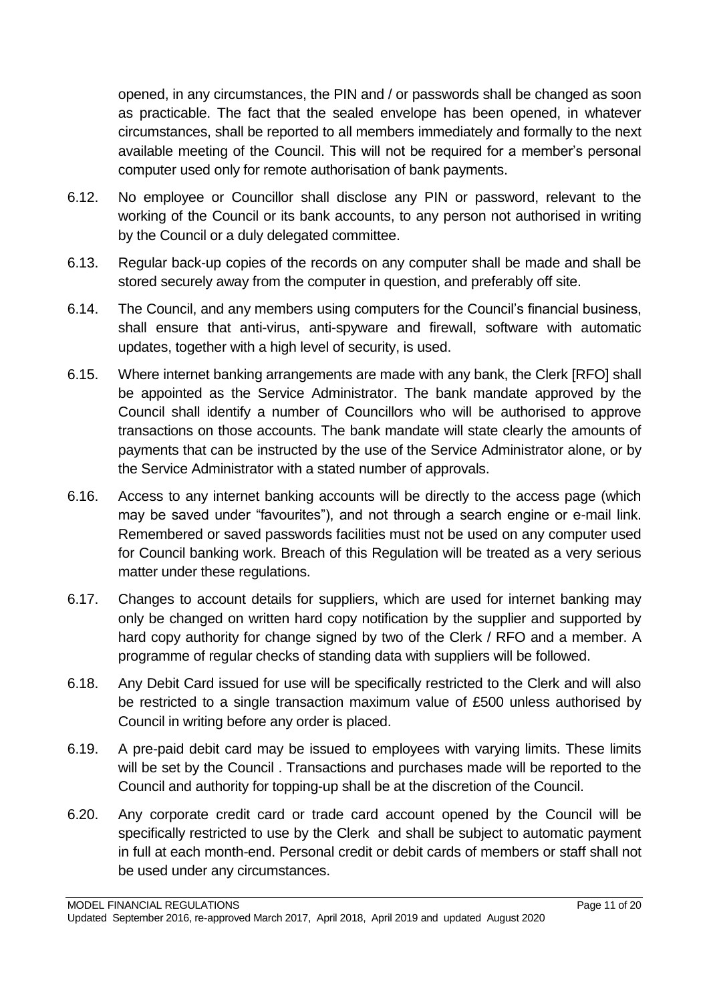opened, in any circumstances, the PIN and / or passwords shall be changed as soon as practicable. The fact that the sealed envelope has been opened, in whatever circumstances, shall be reported to all members immediately and formally to the next available meeting of the Council. This will not be required for a member's personal computer used only for remote authorisation of bank payments.

- 6.12. No employee or Councillor shall disclose any PIN or password, relevant to the working of the Council or its bank accounts, to any person not authorised in writing by the Council or a duly delegated committee.
- 6.13. Regular back-up copies of the records on any computer shall be made and shall be stored securely away from the computer in question, and preferably off site.
- 6.14. The Council, and any members using computers for the Council's financial business, shall ensure that anti-virus, anti-spyware and firewall, software with automatic updates, together with a high level of security, is used.
- 6.15. Where internet banking arrangements are made with any bank, the Clerk [RFO] shall be appointed as the Service Administrator. The bank mandate approved by the Council shall identify a number of Councillors who will be authorised to approve transactions on those accounts. The bank mandate will state clearly the amounts of payments that can be instructed by the use of the Service Administrator alone, or by the Service Administrator with a stated number of approvals.
- 6.16. Access to any internet banking accounts will be directly to the access page (which may be saved under "favourites"), and not through a search engine or e-mail link. Remembered or saved passwords facilities must not be used on any computer used for Council banking work. Breach of this Regulation will be treated as a very serious matter under these regulations.
- 6.17. Changes to account details for suppliers, which are used for internet banking may only be changed on written hard copy notification by the supplier and supported by hard copy authority for change signed by two of the Clerk / RFO and a member. A programme of regular checks of standing data with suppliers will be followed.
- 6.18. Any Debit Card issued for use will be specifically restricted to the Clerk and will also be restricted to a single transaction maximum value of £500 unless authorised by Council in writing before any order is placed.
- 6.19. A pre-paid debit card may be issued to employees with varying limits. These limits will be set by the Council . Transactions and purchases made will be reported to the Council and authority for topping-up shall be at the discretion of the Council.
- 6.20. Any corporate credit card or trade card account opened by the Council will be specifically restricted to use by the Clerk and shall be subject to automatic payment in full at each month-end. Personal credit or debit cards of members or staff shall not be used under any circumstances.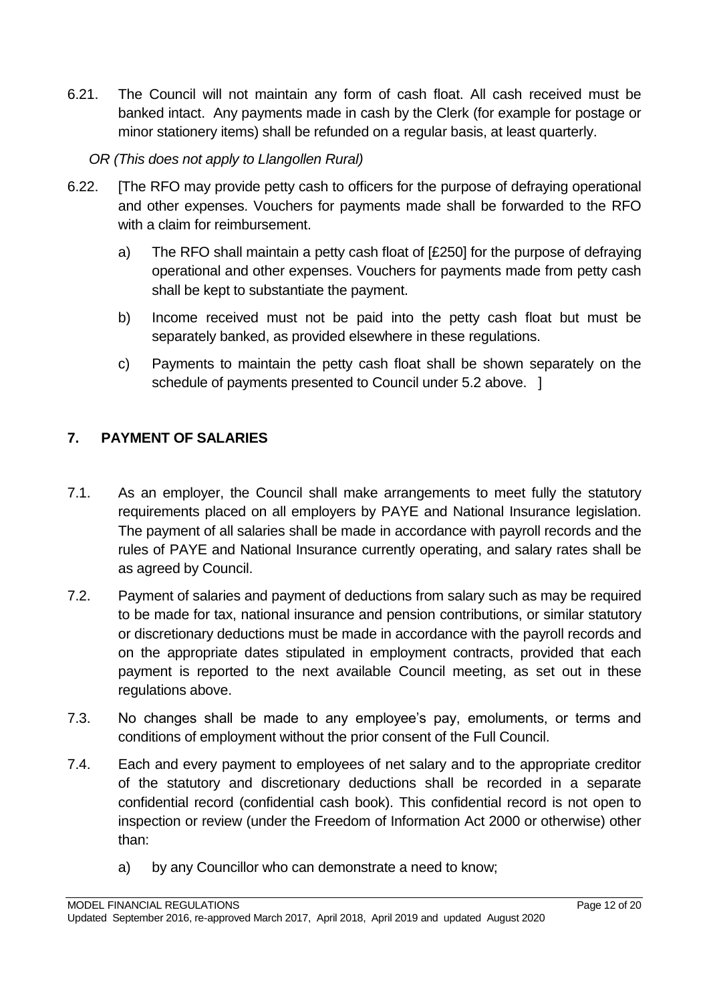- 6.21. The Council will not maintain any form of cash float. All cash received must be banked intact. Any payments made in cash by the Clerk (for example for postage or minor stationery items) shall be refunded on a regular basis, at least quarterly.
	- *OR (This does not apply to Llangollen Rural)*
- 6.22. [The RFO may provide petty cash to officers for the purpose of defraying operational and other expenses. Vouchers for payments made shall be forwarded to the RFO with a claim for reimbursement.
	- a) The RFO shall maintain a petty cash float of [£250] for the purpose of defraying operational and other expenses. Vouchers for payments made from petty cash shall be kept to substantiate the payment.
	- b) Income received must not be paid into the petty cash float but must be separately banked, as provided elsewhere in these regulations.
	- c) Payments to maintain the petty cash float shall be shown separately on the schedule of payments presented to Council under 5.2 above. ]

# <span id="page-11-0"></span>**7. PAYMENT OF SALARIES**

- 7.1. As an employer, the Council shall make arrangements to meet fully the statutory requirements placed on all employers by PAYE and National Insurance legislation. The payment of all salaries shall be made in accordance with payroll records and the rules of PAYE and National Insurance currently operating, and salary rates shall be as agreed by Council.
- 7.2. Payment of salaries and payment of deductions from salary such as may be required to be made for tax, national insurance and pension contributions, or similar statutory or discretionary deductions must be made in accordance with the payroll records and on the appropriate dates stipulated in employment contracts, provided that each payment is reported to the next available Council meeting, as set out in these regulations above.
- 7.3. No changes shall be made to any employee's pay, emoluments, or terms and conditions of employment without the prior consent of the Full Council.
- 7.4. Each and every payment to employees of net salary and to the appropriate creditor of the statutory and discretionary deductions shall be recorded in a separate confidential record (confidential cash book). This confidential record is not open to inspection or review (under the Freedom of Information Act 2000 or otherwise) other than:
	- a) by any Councillor who can demonstrate a need to know;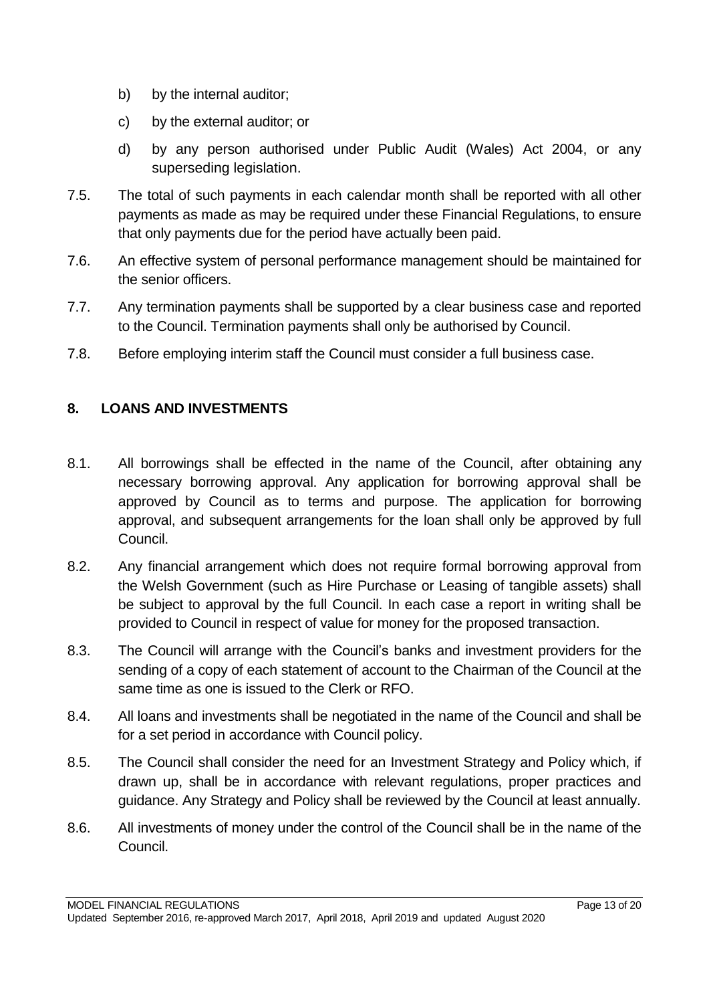- b) by the internal auditor;
- c) by the external auditor; or
- d) by any person authorised under Public Audit (Wales) Act 2004, or any superseding legislation.
- 7.5. The total of such payments in each calendar month shall be reported with all other payments as made as may be required under these Financial Regulations, to ensure that only payments due for the period have actually been paid.
- 7.6. An effective system of personal performance management should be maintained for the senior officers.
- 7.7. Any termination payments shall be supported by a clear business case and reported to the Council. Termination payments shall only be authorised by Council.
- 7.8. Before employing interim staff the Council must consider a full business case.

# <span id="page-12-0"></span>**8. LOANS AND INVESTMENTS**

- 8.1. All borrowings shall be effected in the name of the Council, after obtaining any necessary borrowing approval. Any application for borrowing approval shall be approved by Council as to terms and purpose. The application for borrowing approval, and subsequent arrangements for the loan shall only be approved by full Council.
- 8.2. Any financial arrangement which does not require formal borrowing approval from the Welsh Government (such as Hire Purchase or Leasing of tangible assets) shall be subject to approval by the full Council. In each case a report in writing shall be provided to Council in respect of value for money for the proposed transaction.
- 8.3. The Council will arrange with the Council's banks and investment providers for the sending of a copy of each statement of account to the Chairman of the Council at the same time as one is issued to the Clerk or RFO.
- 8.4. All loans and investments shall be negotiated in the name of the Council and shall be for a set period in accordance with Council policy.
- 8.5. The Council shall consider the need for an Investment Strategy and Policy which, if drawn up, shall be in accordance with relevant regulations, proper practices and guidance. Any Strategy and Policy shall be reviewed by the Council at least annually.
- 8.6. All investments of money under the control of the Council shall be in the name of the Council.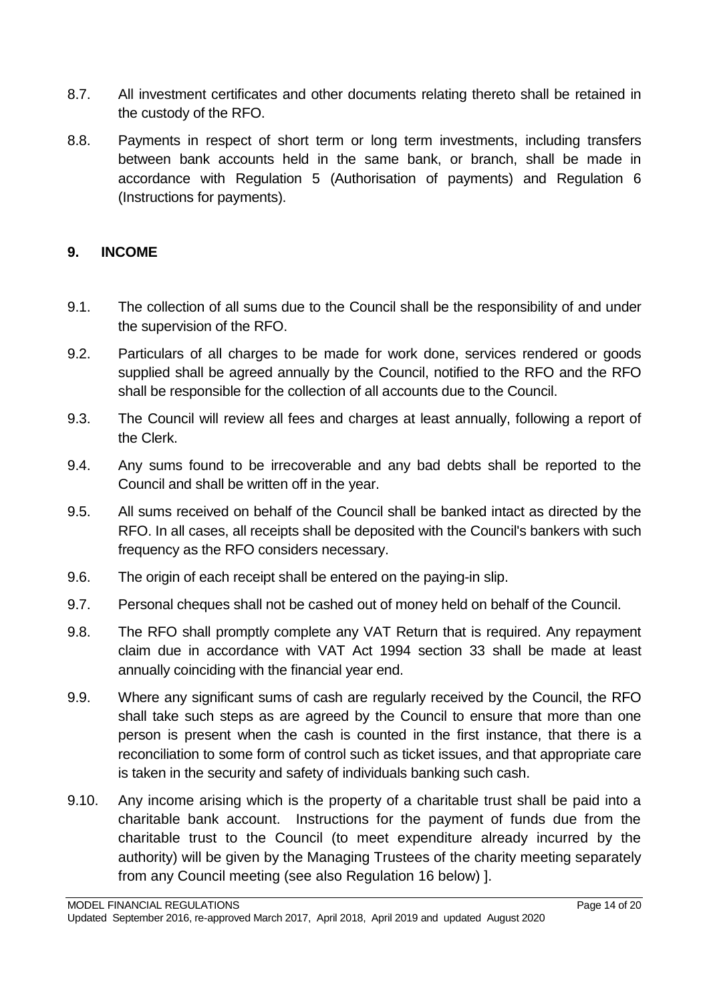- 8.7. All investment certificates and other documents relating thereto shall be retained in the custody of the RFO.
- 8.8. Payments in respect of short term or long term investments, including transfers between bank accounts held in the same bank, or branch, shall be made in accordance with Regulation 5 (Authorisation of payments) and Regulation 6 (Instructions for payments).

#### <span id="page-13-0"></span>**9. INCOME**

- 9.1. The collection of all sums due to the Council shall be the responsibility of and under the supervision of the RFO.
- 9.2. Particulars of all charges to be made for work done, services rendered or goods supplied shall be agreed annually by the Council, notified to the RFO and the RFO shall be responsible for the collection of all accounts due to the Council.
- 9.3. The Council will review all fees and charges at least annually, following a report of the Clerk.
- 9.4. Any sums found to be irrecoverable and any bad debts shall be reported to the Council and shall be written off in the year.
- 9.5. All sums received on behalf of the Council shall be banked intact as directed by the RFO. In all cases, all receipts shall be deposited with the Council's bankers with such frequency as the RFO considers necessary.
- 9.6. The origin of each receipt shall be entered on the paying-in slip.
- 9.7. Personal cheques shall not be cashed out of money held on behalf of the Council.
- 9.8. The RFO shall promptly complete any VAT Return that is required. Any repayment claim due in accordance with VAT Act 1994 section 33 shall be made at least annually coinciding with the financial year end.
- 9.9. Where any significant sums of cash are regularly received by the Council, the RFO shall take such steps as are agreed by the Council to ensure that more than one person is present when the cash is counted in the first instance, that there is a reconciliation to some form of control such as ticket issues, and that appropriate care is taken in the security and safety of individuals banking such cash.
- 9.10. Any income arising which is the property of a charitable trust shall be paid into a charitable bank account. Instructions for the payment of funds due from the charitable trust to the Council (to meet expenditure already incurred by the authority) will be given by the Managing Trustees of the charity meeting separately from any Council meeting (see also Regulation 16 below) ].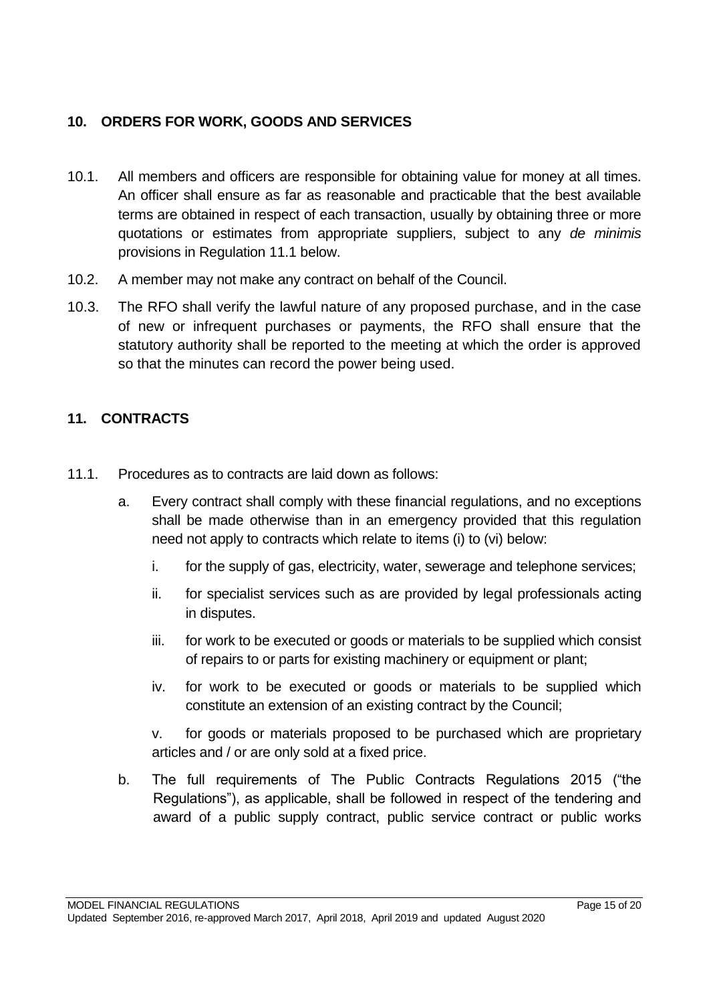# <span id="page-14-0"></span>**10. ORDERS FOR WORK, GOODS AND SERVICES**

- 10.1. All members and officers are responsible for obtaining value for money at all times. An officer shall ensure as far as reasonable and practicable that the best available terms are obtained in respect of each transaction, usually by obtaining three or more quotations or estimates from appropriate suppliers, subject to any *de minimis* provisions in Regulation 11.1 below.
- 10.2. A member may not make any contract on behalf of the Council.
- 10.3. The RFO shall verify the lawful nature of any proposed purchase, and in the case of new or infrequent purchases or payments, the RFO shall ensure that the statutory authority shall be reported to the meeting at which the order is approved so that the minutes can record the power being used.

#### <span id="page-14-1"></span>**11. CONTRACTS**

- 11.1. Procedures as to contracts are laid down as follows:
	- a. Every contract shall comply with these financial regulations, and no exceptions shall be made otherwise than in an emergency provided that this regulation need not apply to contracts which relate to items (i) to (vi) below:
		- i. for the supply of gas, electricity, water, sewerage and telephone services;
		- ii. for specialist services such as are provided by legal professionals acting in disputes.
		- iii. for work to be executed or goods or materials to be supplied which consist of repairs to or parts for existing machinery or equipment or plant;
		- iv. for work to be executed or goods or materials to be supplied which constitute an extension of an existing contract by the Council;

v. for goods or materials proposed to be purchased which are proprietary articles and / or are only sold at a fixed price.

b. The full requirements of The Public Contracts Regulations 2015 ("the Regulations"), as applicable, shall be followed in respect of the tendering and award of a public supply contract, public service contract or public works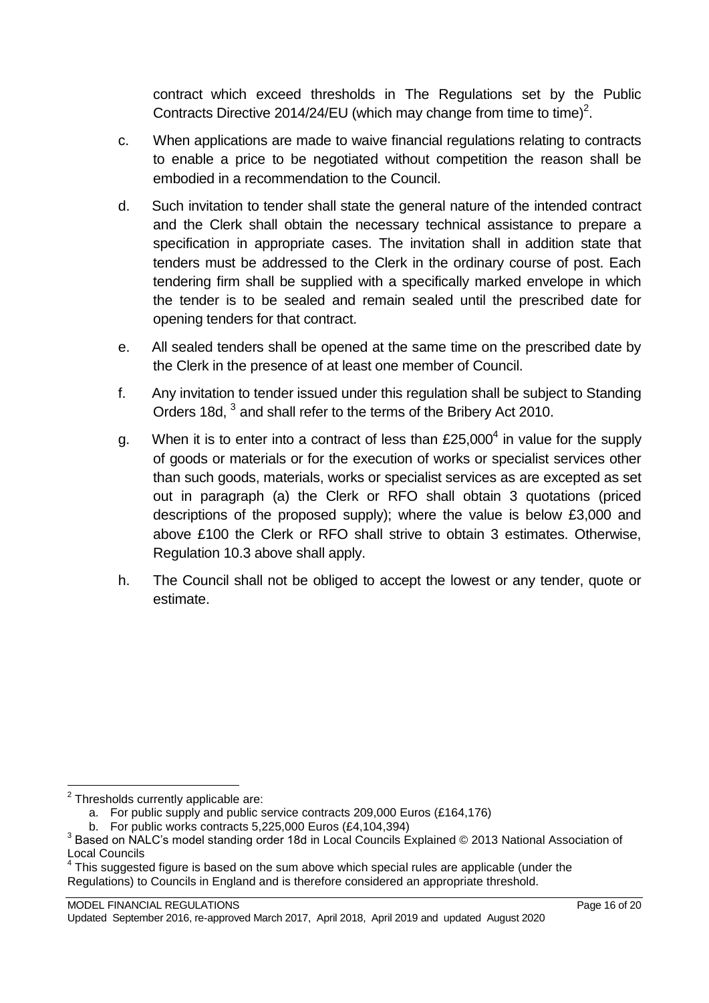contract which exceed thresholds in The Regulations set by the Public Contracts Directive 2014/24/EU (which may change from time to time)<sup>2</sup>.

- c. When applications are made to waive financial regulations relating to contracts to enable a price to be negotiated without competition the reason shall be embodied in a recommendation to the Council.
- d. Such invitation to tender shall state the general nature of the intended contract and the Clerk shall obtain the necessary technical assistance to prepare a specification in appropriate cases. The invitation shall in addition state that tenders must be addressed to the Clerk in the ordinary course of post. Each tendering firm shall be supplied with a specifically marked envelope in which the tender is to be sealed and remain sealed until the prescribed date for opening tenders for that contract.
- e. All sealed tenders shall be opened at the same time on the prescribed date by the Clerk in the presence of at least one member of Council.
- f. Any invitation to tender issued under this regulation shall be subject to Standing Orders 18d, <sup>3</sup> and shall refer to the terms of the Bribery Act 2010.
- g. When it is to enter into a contract of less than  $£25,000<sup>4</sup>$  in value for the supply of goods or materials or for the execution of works or specialist services other than such goods, materials, works or specialist services as are excepted as set out in paragraph (a) the Clerk or RFO shall obtain 3 quotations (priced descriptions of the proposed supply); where the value is below £3,000 and above £100 the Clerk or RFO shall strive to obtain 3 estimates. Otherwise, Regulation 10.3 above shall apply.
- h. The Council shall not be obliged to accept the lowest or any tender, quote or estimate.

 2 Thresholds currently applicable are:

a. For public supply and public service contracts 209,000 Euros (£164,176)

b. For public works contracts 5,225,000 Euros (£4,104,394)

 $^3$  Based on NALC's model standing order 18d in Local Councils Explained © 2013 National Association of Local Councils

 $4$  This suggested figure is based on the sum above which special rules are applicable (under the Regulations) to Councils in England and is therefore considered an appropriate threshold.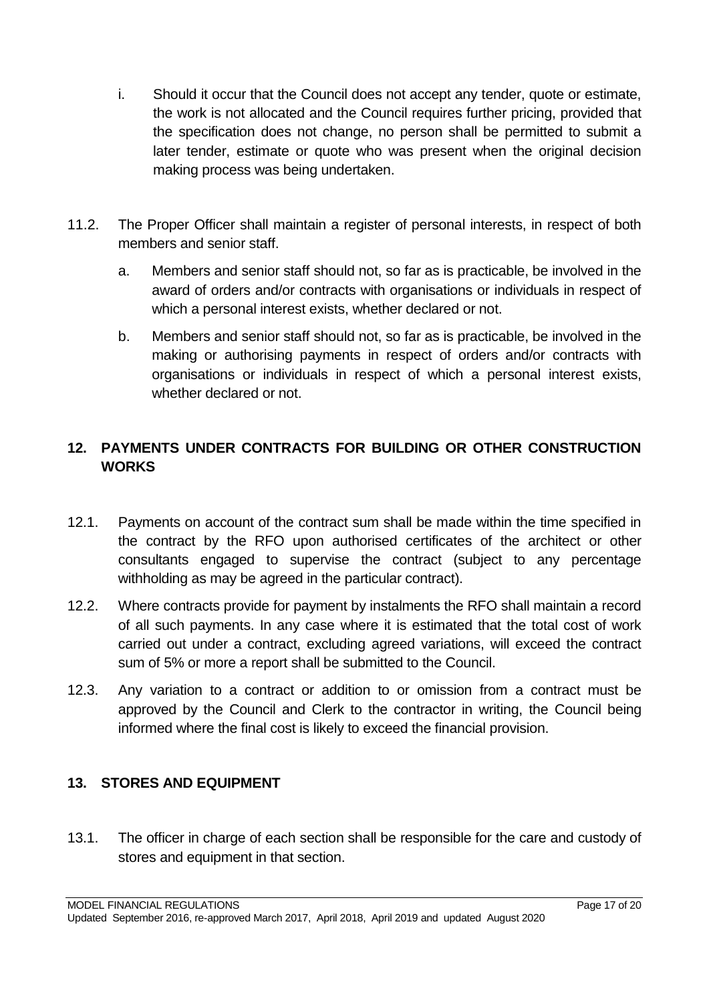- i. Should it occur that the Council does not accept any tender, quote or estimate, the work is not allocated and the Council requires further pricing, provided that the specification does not change, no person shall be permitted to submit a later tender, estimate or quote who was present when the original decision making process was being undertaken.
- 11.2. The Proper Officer shall maintain a register of personal interests, in respect of both members and senior staff.
	- a. Members and senior staff should not, so far as is practicable, be involved in the award of orders and/or contracts with organisations or individuals in respect of which a personal interest exists, whether declared or not.
	- b. Members and senior staff should not, so far as is practicable, be involved in the making or authorising payments in respect of orders and/or contracts with organisations or individuals in respect of which a personal interest exists, whether declared or not.

# <span id="page-16-0"></span>**12. PAYMENTS UNDER CONTRACTS FOR BUILDING OR OTHER CONSTRUCTION WORKS**

- 12.1. Payments on account of the contract sum shall be made within the time specified in the contract by the RFO upon authorised certificates of the architect or other consultants engaged to supervise the contract (subject to any percentage withholding as may be agreed in the particular contract).
- 12.2. Where contracts provide for payment by instalments the RFO shall maintain a record of all such payments. In any case where it is estimated that the total cost of work carried out under a contract, excluding agreed variations, will exceed the contract sum of 5% or more a report shall be submitted to the Council.
- 12.3. Any variation to a contract or addition to or omission from a contract must be approved by the Council and Clerk to the contractor in writing, the Council being informed where the final cost is likely to exceed the financial provision.

# <span id="page-16-1"></span>**13. STORES AND EQUIPMENT**

13.1. The officer in charge of each section shall be responsible for the care and custody of stores and equipment in that section.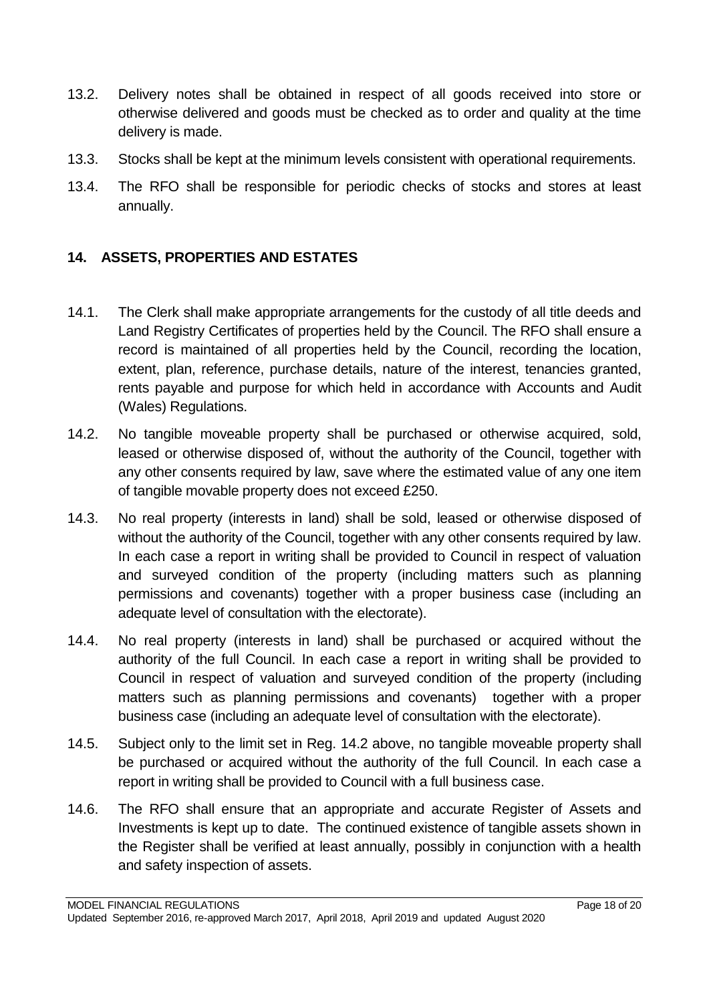- 13.2. Delivery notes shall be obtained in respect of all goods received into store or otherwise delivered and goods must be checked as to order and quality at the time delivery is made.
- 13.3. Stocks shall be kept at the minimum levels consistent with operational requirements.
- 13.4. The RFO shall be responsible for periodic checks of stocks and stores at least annually.

# <span id="page-17-0"></span>**14. ASSETS, PROPERTIES AND ESTATES**

- 14.1. The Clerk shall make appropriate arrangements for the custody of all title deeds and Land Registry Certificates of properties held by the Council. The RFO shall ensure a record is maintained of all properties held by the Council, recording the location, extent, plan, reference, purchase details, nature of the interest, tenancies granted, rents payable and purpose for which held in accordance with Accounts and Audit (Wales) Regulations.
- 14.2. No tangible moveable property shall be purchased or otherwise acquired, sold, leased or otherwise disposed of, without the authority of the Council, together with any other consents required by law, save where the estimated value of any one item of tangible movable property does not exceed £250.
- 14.3. No real property (interests in land) shall be sold, leased or otherwise disposed of without the authority of the Council, together with any other consents required by law. In each case a report in writing shall be provided to Council in respect of valuation and surveyed condition of the property (including matters such as planning permissions and covenants) together with a proper business case (including an adequate level of consultation with the electorate).
- 14.4. No real property (interests in land) shall be purchased or acquired without the authority of the full Council. In each case a report in writing shall be provided to Council in respect of valuation and surveyed condition of the property (including matters such as planning permissions and covenants) together with a proper business case (including an adequate level of consultation with the electorate).
- 14.5. Subject only to the limit set in Reg. 14.2 above, no tangible moveable property shall be purchased or acquired without the authority of the full Council. In each case a report in writing shall be provided to Council with a full business case.
- 14.6. The RFO shall ensure that an appropriate and accurate Register of Assets and Investments is kept up to date. The continued existence of tangible assets shown in the Register shall be verified at least annually, possibly in conjunction with a health and safety inspection of assets.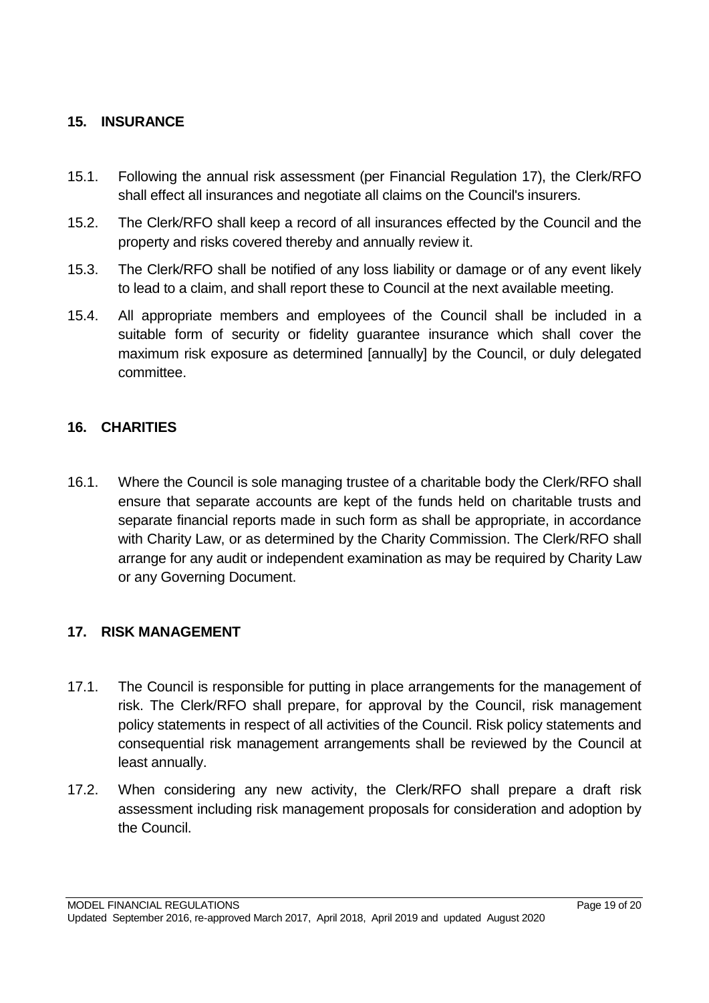#### <span id="page-18-0"></span>**15. INSURANCE**

- 15.1. Following the annual risk assessment (per Financial Regulation 17), the Clerk/RFO shall effect all insurances and negotiate all claims on the Council's insurers.
- 15.2. The Clerk/RFO shall keep a record of all insurances effected by the Council and the property and risks covered thereby and annually review it.
- 15.3. The Clerk/RFO shall be notified of any loss liability or damage or of any event likely to lead to a claim, and shall report these to Council at the next available meeting.
- 15.4. All appropriate members and employees of the Council shall be included in a suitable form of security or fidelity guarantee insurance which shall cover the maximum risk exposure as determined [annually] by the Council, or duly delegated committee.

#### <span id="page-18-1"></span>**16. CHARITIES**

16.1. Where the Council is sole managing trustee of a charitable body the Clerk/RFO shall ensure that separate accounts are kept of the funds held on charitable trusts and separate financial reports made in such form as shall be appropriate, in accordance with Charity Law, or as determined by the Charity Commission. The Clerk/RFO shall arrange for any audit or independent examination as may be required by Charity Law or any Governing Document.

#### <span id="page-18-2"></span>**17. RISK MANAGEMENT**

- 17.1. The Council is responsible for putting in place arrangements for the management of risk. The Clerk/RFO shall prepare, for approval by the Council, risk management policy statements in respect of all activities of the Council. Risk policy statements and consequential risk management arrangements shall be reviewed by the Council at least annually.
- 17.2. When considering any new activity, the Clerk/RFO shall prepare a draft risk assessment including risk management proposals for consideration and adoption by the Council.